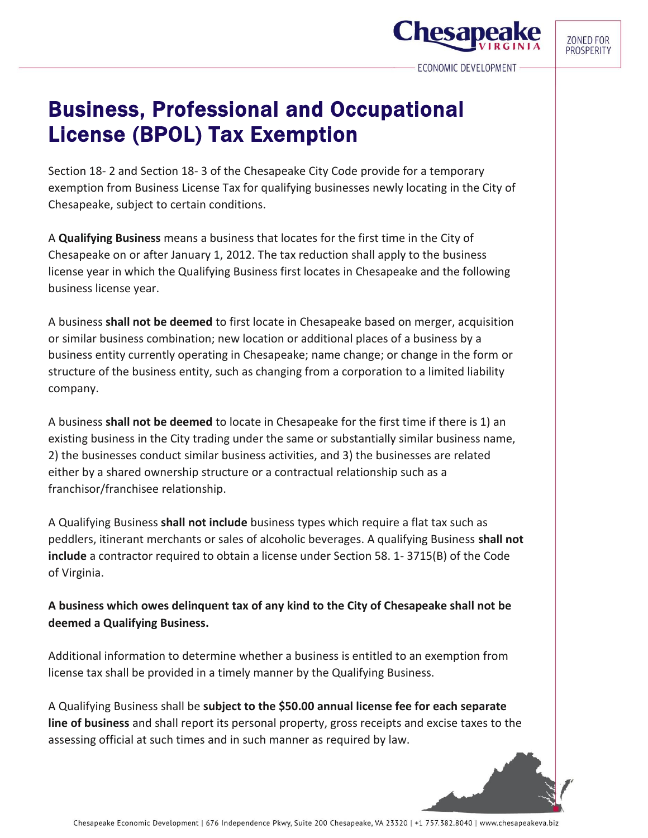**Chesa** 

## Business, Professional and Occupational License (BPOL) Tax Exemption

Section 18- 2 and Section 18- 3 of the Chesapeake City Code provide for a temporary exemption from Business License Tax for qualifying businesses newly locating in the City of Chesapeake, subject to certain conditions.

A **Qualifying Business** means a business that locates for the first time in the City of Chesapeake on or after January 1, 2012. The tax reduction shall apply to the business license year in which the Qualifying Business first locates in Chesapeake and the following business license year.

A business **shall not be deemed** to first locate in Chesapeake based on merger, acquisition or similar business combination; new location or additional places of a business by a business entity currently operating in Chesapeake; name change; or change in the form or structure of the business entity, such as changing from a corporation to a limited liability company.

A business **shall not be deemed** to locate in Chesapeake for the first time if there is 1) an existing business in the City trading under the same or substantially similar business name, 2) the businesses conduct similar business activities, and 3) the businesses are related either by a shared ownership structure or a contractual relationship such as a franchisor/franchisee relationship.

A Qualifying Business **shall not include** business types which require a flat tax such as peddlers, itinerant merchants or sales of alcoholic beverages. A qualifying Business **shall not include** a contractor required to obtain a license under Section 58. 1- 3715(B) of the Code of Virginia.

**A business which owes delinquent tax of any kind to the City of Chesapeake shall not be deemed a Qualifying Business.** 

Additional information to determine whether a business is entitled to an exemption from license tax shall be provided in a timely manner by the Qualifying Business.

A Qualifying Business shall be **subject to the \$50.00 annual license fee for each separate line of business** and shall report its personal property, gross receipts and excise taxes to the assessing official at such times and in such manner as required by law.